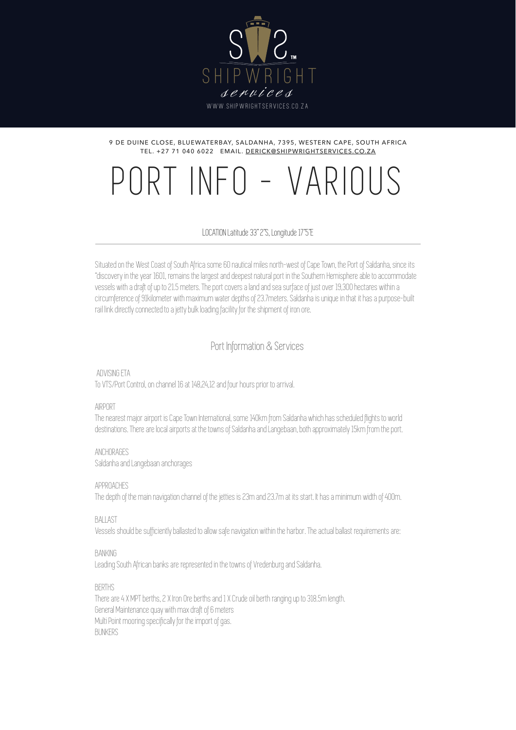

#### 9 DE DUINE CLOSE, BLUEWATERBAY, SALDANHA, 7395, WESTERN CAPE, SOUTH AFRICA TEL. +27 71 040 6022 EMAIL. [DERICK@SHIPWRIGHTSERVICES.CO.ZA](mailto:derick@shipwrightservices.co.za)

# PORT INFO - VARIOUS

LOCATION Latitude 33" 2"S, Longitude 17"5"E

Situated on the West Coast of South Africa some 60 nautical miles north-west of Cape Town, the Port of Saldanha, since its "discovery in the year 1601, remains the largest and deepest natural port in the Southern Hemisphere able to accommodate vessels with a draft of up to 21.5 meters. The port covers a land and sea surface of just over 19,300 hectares within a circumference of 91kilometer with maximum water depths of 23.7meters. Saldanha is unique in that it has a purpose-built rail link directly connected to a jetty bulk loading facility for the shipment of iron ore.

Port Information & Services

 ADVISING ETA To VTS/Port Control, on channel 16 at 148,24,12 and four hours prior to arrival.

## AIRPORT

The nearest major airport is Cape Town International, some 140km from Saldanha which has scheduled flights to world destinations. There are local airports at the towns of Saldanha and Langebaan, both approximately 15km from the port.

ANCHORAGES

Saldanha and Langebaan anchorages

APPROACHES

The depth of the main navigation channel of the jetties is 23m and 23.7m at its start. It has a minimum width of 400m.

**BALLAST** 

Vessels should be sufficiently ballasted to allow safe navigation within the harbor. The actual ballast requirements are:

## BANKING

Leading South African banks are represented in the towns of Vredenburg and Saldanha.

**BERTHS** 

There are 4 X MPT berths, 2 X Iron Ore berths and 1 X Crude oil berth ranging up to 318.5m length. General Maintenance quay with max draft of 6 meters Multi Point mooring specifically for the import of gas. **BUNKERS**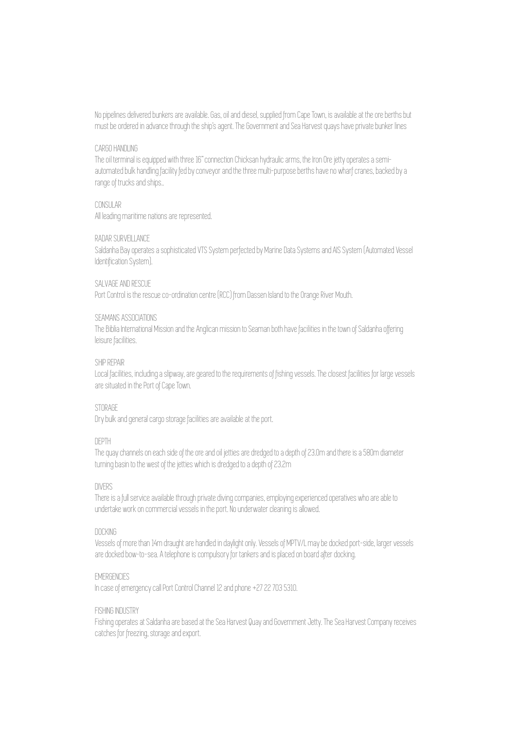No pipelines delivered bunkers are available. Gas, oil and diesel, supplied from Cape Town, is available at the ore berths but must be ordered in advance through the ship's agent. The Government and Sea Harvest quays have private bunker lines

## CARGO HANDLING

The oil terminal is equipped with three 16" connection Chicksan hydraulic arms, the Iron Ore jetty operates a semiautomated bulk handling facility fed by conveyor and the three multi-purpose berths have no wharf cranes, backed by a range of trucks and ships..

## CONSULAR

All leading maritime nations are represented.

## RADAR SURVEILLANCE

Saldanha Bay operates a sophisticated VTS System perfected by Marine Data Systems and AIS System (Automated Vessel Identification System).

## SALVAGE AND RESCUE

Port Control is the rescue co-ordination centre (RCC) from Dassen Island to the Orange River Mouth.

#### SEAMANS ASSOCIATIONS

The Biblia International Mission and the Anglican mission to Seaman both have facilities in the town of Saldanha offering leisure facilities.

#### SHIP REPAIR

Local facilities, including a slipway, are geared to the requirements of fishing vessels. The closest facilities for large vessels are situated in the Port of Cape Town.

## **STORAGE**

Dry bulk and general cargo storage facilities are available at the port.

## DEPTH

The quay channels on each side of the ore and oil jetties are dredged to a depth of 23.0m and there is a 580m diameter turning basin to the west of the jetties which is dredged to a depth of 23.2m

## DIVERS

There is a full service available through private diving companies, employing experienced operatives who are able to undertake work on commercial vessels in the port. No underwater cleaning is allowed.

## DOCKING

Vessels of more than 14m draught are handled in daylight only. Vessels of MPTV/L may be docked port-side, larger vessels are docked bow-to-sea. A telephone is compulsory for tankers and is placed on board after docking.

## **EMERGENCIES**

In case of emergency call Port Control Channel 12 and phone +27 22 703 5310.

#### FISHING INDUSTRY

Fishing operates at Saldanha are based at the Sea Harvest Quay and Government Jetty. The Sea Harvest Company receives catches for freezing, storage and export.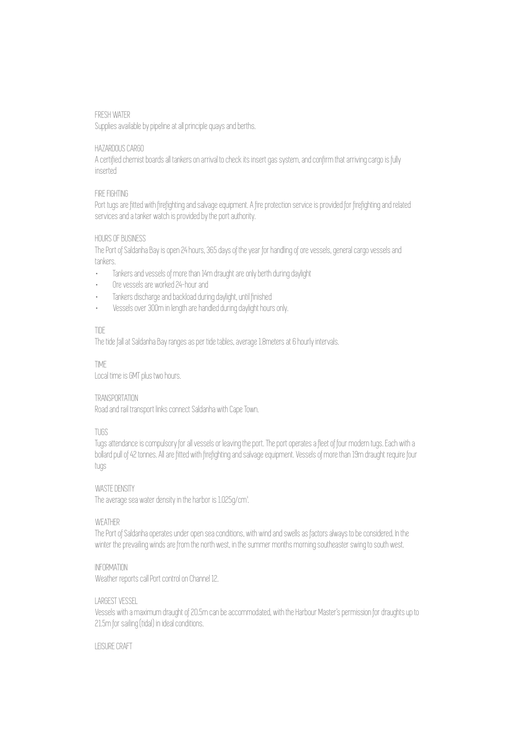## FRESH WATER

Supplies available by pipeline at all principle quays and berths.

## HAZARDOUS CARGO

A certified chemist boards all tankers on arrival to check its insert gas system, and confirm that arriving cargo is fully inserted

## FIRE FIGHTING

Port tugs are fitted with firefighting and salvage equipment. A fire protection service is provided for firefighting and related services and a tanker watch is provided by the port authority.

## HOURS OF BUSINESS

The Port of Saldanha Bay is open 24 hours, 365 days of the year for handling of ore vessels, general cargo vessels and tankers.

- · Tankers and vessels of more than 14m draught are only berth during daylight
- · Ore vessels are worked 24-hour and
- · Tankers discharge and backload during daylight, until finished
- · Vessels over 300m in length are handled during daylight hours only.

## TIDE

The tide fall at Saldanha Bay ranges as per tide tables, average 1.8meters at 6 hourly intervals.

## TIME

Local time is GMT plus two hours.

## TRANSPORTATION

Road and rail transport links connect Saldanha with Cape Town.

## TUGS

Tugs attendance is compulsory for all vessels or leaving the port. The port operates a fleet of four modern tugs. Each with a bollard pull of 42 tonnes. All are fitted with firefighting and salvage equipment. Vessels of more than 19m draught require four tugs

# WASTE DENSITY

The average sea water density in the harbor is 1.025g/cm<sup>2</sup>.

## **WFATHER**

The Port of Saldanha operates under open sea conditions, with wind and swells as factors always to be considered. In the winter the prevailing winds are from the north west, in the summer months morning southeaster swing to south west.

## INFORMATION

Weather reports call Port control on Channel 12.

## LARGEST VESSEL

Vessels with a maximum draught of 20.5m can be accommodated, with the Harbour Master's permission for draughts up to 21.5m for sailing (tidal) in ideal conditions.

## LEISURE CRAFT